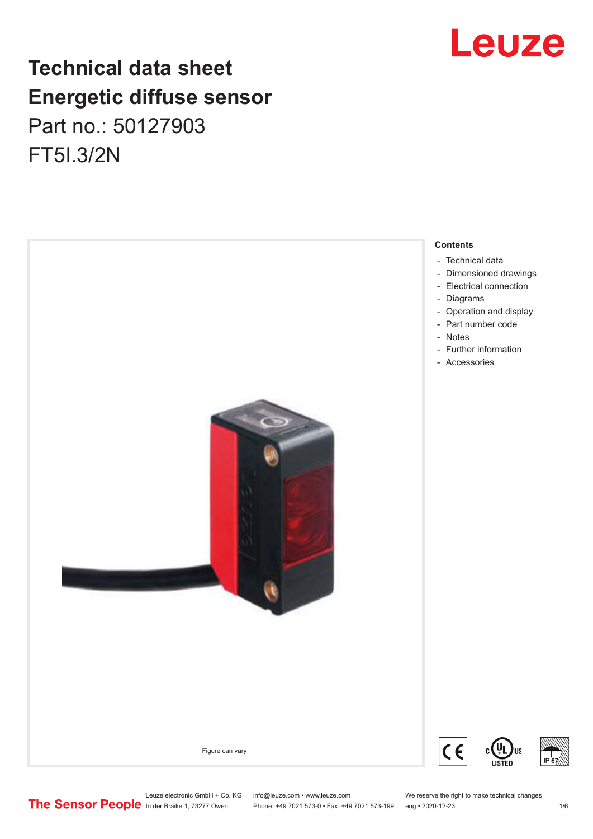## **Technical data sheet Energetic diffuse sensor** Part no.: 50127903 FT5I.3/2N



## Leuze

Leuze electronic GmbH + Co. KG info@leuze.com • www.leuze.com We reserve the right to make technical changes<br>
The Sensor People in der Braike 1, 73277 Owen Phone: +49 7021 573-0 • Fax: +49 7021 573-199 eng • 2020-12-23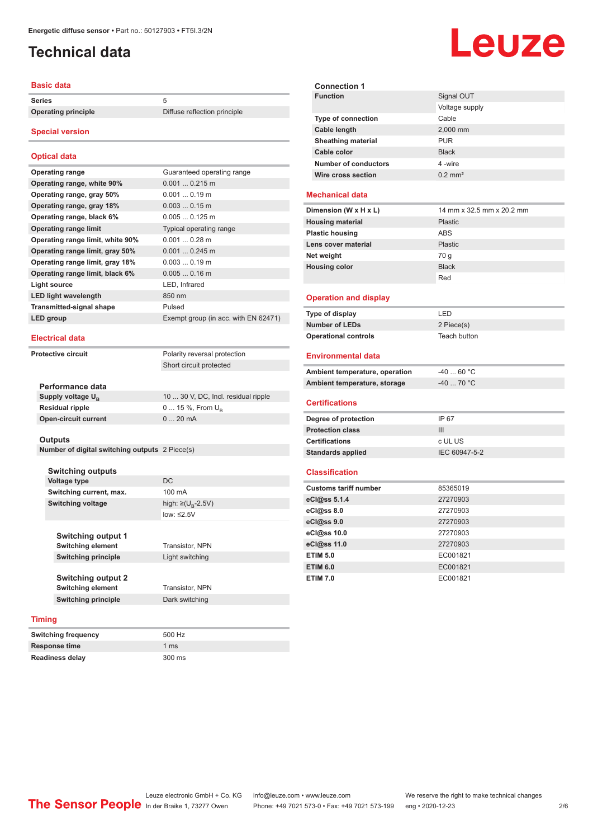## <span id="page-1-0"></span>**Technical data**

#### **Basic data**

**Series** 5

**Operating principle** Diffuse reflection principle

#### **Special version**

#### **Optical data**

| <b>Operating range</b>           | Guaranteed operating range           |
|----------------------------------|--------------------------------------|
| Operating range, white 90%       | $0.0010.215$ m                       |
| Operating range, gray 50%        | $0.0010.19$ m                        |
| Operating range, gray 18%        | $0.0030.15$ m                        |
| Operating range, black 6%        | $0.0050.125$ m                       |
| <b>Operating range limit</b>     | <b>Typical operating range</b>       |
| Operating range limit, white 90% | $0.0010.28$ m                        |
| Operating range limit, gray 50%  | $0.0010.245$ m                       |
| Operating range limit, gray 18%  | $0.0030.19$ m                        |
| Operating range limit, black 6%  | $0.0050.16$ m                        |
| Light source                     | LED, Infrared                        |
| <b>LED light wavelength</b>      | 850 nm                               |
| <b>Transmitted-signal shape</b>  | Pulsed                               |
| LED group                        | Exempt group (in acc. with EN 62471) |
|                                  |                                      |

#### **Electrical data**

**Protective circuit** 

| Polarity reversal protection |
|------------------------------|
| Short circuit protected      |
|                              |
|                              |

| Performance data              |                                     |
|-------------------------------|-------------------------------------|
| Supply voltage U <sub>p</sub> | 10  30 V, DC, Incl. residual ripple |
| Residual ripple               | $0 15 \%$ , From $U_{p}$            |
| <b>Open-circuit current</b>   | $020$ mA                            |

#### **Outputs**

**Number of digital switching outputs** 2 Piece(s)

#### **Switching outputs Voltage type** DC **Switching current, max.** 100 mA **Switching voltage**

high:  $\geq$ (U<sub>p</sub>-2.5V) low: ≤2.5V

**Switching output 1 Switching element** Transistor, NPN **Switching principle** Light switching **Switching output 2**

**Switching element** Transistor, NPN **Switching principle** Dark switching

#### **Timing**

| Switching frequency  | 500 Hz          |
|----------------------|-----------------|
| <b>Response time</b> | 1 <sub>ms</sub> |
| Readiness delay      | 300 ms          |

| .                         |                       |
|---------------------------|-----------------------|
| echanical data            |                       |
| Wire cross section        | $0.2$ mm <sup>2</sup> |
| Number of conductors      | 4-wire                |
| Cable color               | <b>Black</b>          |
| <b>Sheathing material</b> | <b>PUR</b>            |
| Cable length              | 2,000 mm              |
| <b>Type of connection</b> | Cable                 |
|                           | Voltage supply        |
| <b>Function</b>           | Signal OUT            |
| <b>Connection 1</b>       |                       |
|                           |                       |

#### **Mechanical data**

| Dimension (W x H x L)   | 14 mm x 32.5 mm x 20.2 mm |
|-------------------------|---------------------------|
| <b>Housing material</b> | <b>Plastic</b>            |
| <b>Plastic housing</b>  | <b>ABS</b>                |
| Lens cover material     | <b>Plastic</b>            |
| Net weight              | 70 g                      |
| <b>Housing color</b>    | <b>Black</b>              |
|                         | Red                       |

#### **Operation and display**

| Type of display             | I FD.        |
|-----------------------------|--------------|
| <b>Number of LEDs</b>       | 2 Piece(s)   |
| <b>Operational controls</b> | Teach button |

#### **Environmental data**

| Ambient temperature, operation | -40  60 °C |
|--------------------------------|------------|
| Ambient temperature, storage   | -40  70 °C |

#### **Certifications**

| Degree of protection     | IP 67         |
|--------------------------|---------------|
| <b>Protection class</b>  | Ш             |
| <b>Certifications</b>    | c UL US       |
| <b>Standards applied</b> | IEC 60947-5-2 |

#### **Classification**

| <b>Customs tariff number</b> | 85365019 |
|------------------------------|----------|
| eCl@ss 5.1.4                 | 27270903 |
| eCl@ss 8.0                   | 27270903 |
| eCl@ss 9.0                   | 27270903 |
| eCl@ss 10.0                  | 27270903 |
| eCl@ss 11.0                  | 27270903 |
| <b>ETIM 5.0</b>              | EC001821 |
| <b>ETIM 6.0</b>              | EC001821 |
| <b>ETIM 7.0</b>              | EC001821 |

# Leuze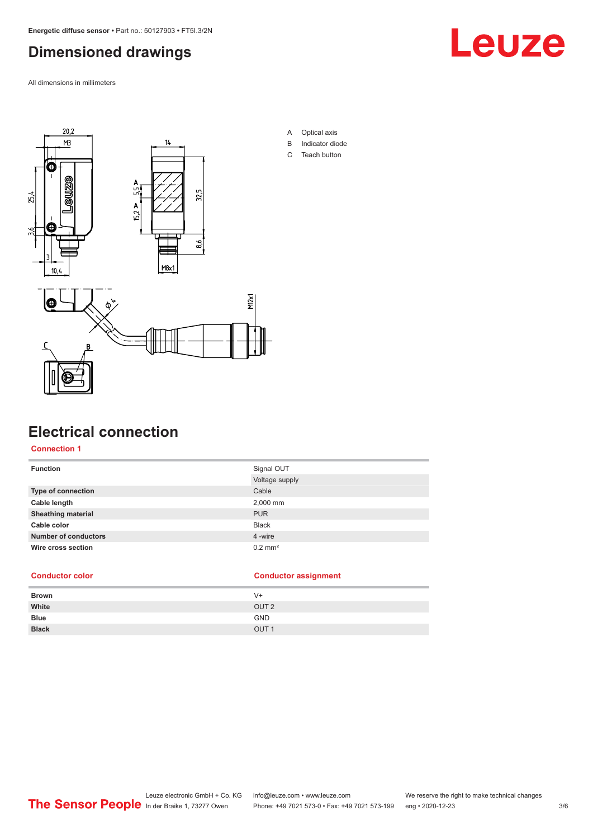## <span id="page-2-0"></span>**Dimensioned drawings**

All dimensions in millimeters





- A Optical axis
- B Indicator diode
- C Teach button

## **Electrical connection**

**Connection 1**

| <b>Function</b>             | Signal OUT            |
|-----------------------------|-----------------------|
|                             | Voltage supply        |
| Type of connection          | Cable                 |
| Cable length                | 2,000 mm              |
| <b>Sheathing material</b>   | <b>PUR</b>            |
| Cable color                 | <b>Black</b>          |
| <b>Number of conductors</b> | 4 -wire               |
| Wire cross section          | $0.2$ mm <sup>2</sup> |

| <b>Conductor color</b> | <b>Conductor assignment</b> |
|------------------------|-----------------------------|
| <b>Brown</b>           | V+                          |
| White                  | OUT <sub>2</sub>            |
| <b>Blue</b>            | <b>GND</b>                  |
| <b>Black</b>           | OUT <sub>1</sub>            |
|                        |                             |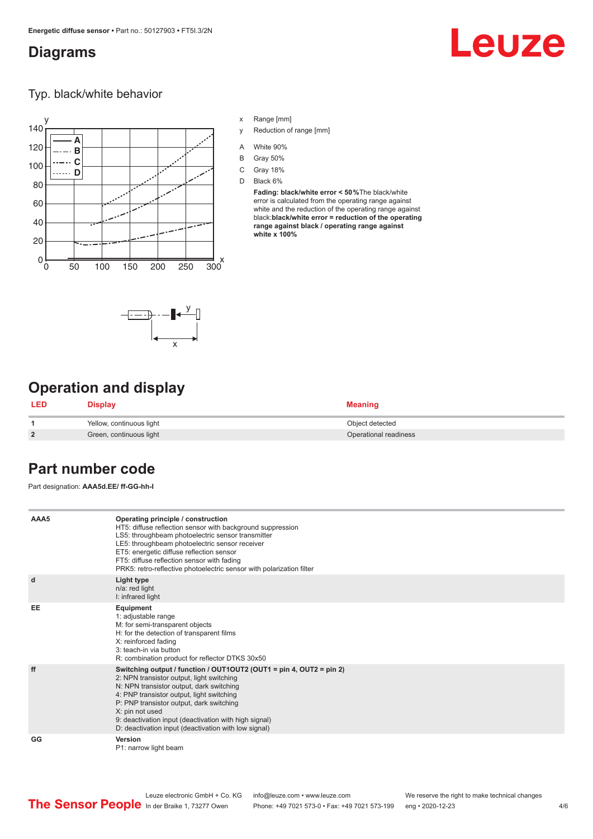### <span id="page-3-0"></span>**Diagrams**

# Leuze

#### Typ. black/white behavior



- x Range [mm]
- y Reduction of range [mm]
- A White 90%
- B Gray 50%
- C Gray 18%
- D Black 6%

**Fading: black/white error < 50 %**The black/white error is calculated from the operating range against white and the reduction of the operating range against black:**black/white error = reduction of the operating range against black / operating range against white x 100%**



## **Operation and display**

| LED            | Display                  | <b>Meaning</b>        |
|----------------|--------------------------|-----------------------|
|                | Yellow, continuous light | Object detected       |
| $\overline{2}$ | Green, continuous light  | Operational readiness |

## **Part number code**

Part designation: **AAA5d.EE/ ff-GG-hh-I**

| AAA5 | Operating principle / construction<br>HT5: diffuse reflection sensor with background suppression<br>LS5: throughbeam photoelectric sensor transmitter<br>LE5: throughbeam photoelectric sensor receiver<br>ET5: energetic diffuse reflection sensor                                                                                                                                       |
|------|-------------------------------------------------------------------------------------------------------------------------------------------------------------------------------------------------------------------------------------------------------------------------------------------------------------------------------------------------------------------------------------------|
|      | FT5: diffuse reflection sensor with fading<br>PRK5: retro-reflective photoelectric sensor with polarization filter                                                                                                                                                                                                                                                                        |
| d    | Light type<br>n/a: red light<br>I: infrared light                                                                                                                                                                                                                                                                                                                                         |
| EE   | Equipment<br>1: adjustable range<br>M: for semi-transparent objects<br>H: for the detection of transparent films<br>X: reinforced fading<br>3: teach-in via button<br>R: combination product for reflector DTKS 30x50                                                                                                                                                                     |
| ff   | Switching output / function / OUT1OUT2 (OUT1 = pin 4, OUT2 = pin 2)<br>2: NPN transistor output, light switching<br>N: NPN transistor output, dark switching<br>4: PNP transistor output, light switching<br>P: PNP transistor output, dark switching<br>X: pin not used<br>9: deactivation input (deactivation with high signal)<br>D: deactivation input (deactivation with low signal) |
| GG   | Version<br>P1: narrow light beam                                                                                                                                                                                                                                                                                                                                                          |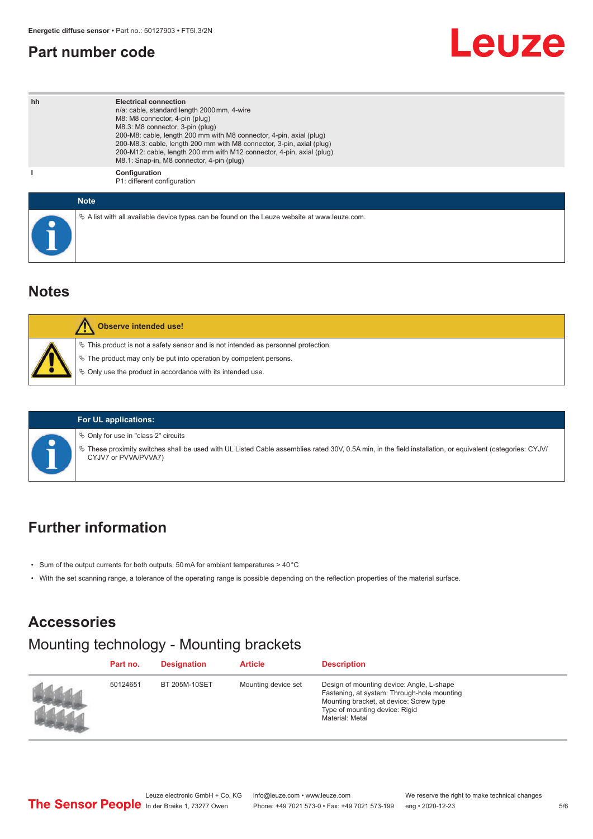### <span id="page-4-0"></span>**Part number code**

## Leuze

| hh          | <b>Electrical connection</b><br>n/a: cable, standard length 2000 mm, 4-wire<br>M8: M8 connector, 4-pin (plug)<br>M8.3: M8 connector, 3-pin (plug)<br>200-M8: cable, length 200 mm with M8 connector, 4-pin, axial (plug)<br>200-M8.3: cable, length 200 mm with M8 connector, 3-pin, axial (plug)<br>200-M12: cable, length 200 mm with M12 connector, 4-pin, axial (plug)<br>M8.1: Snap-in, M8 connector, 4-pin (plug) |
|-------------|-------------------------------------------------------------------------------------------------------------------------------------------------------------------------------------------------------------------------------------------------------------------------------------------------------------------------------------------------------------------------------------------------------------------------|
|             | Configuration<br>P1: different configuration                                                                                                                                                                                                                                                                                                                                                                            |
| <b>Note</b> |                                                                                                                                                                                                                                                                                                                                                                                                                         |
|             | $\&$ A list with all available device types can be found on the Leuze website at www.leuze.com.                                                                                                                                                                                                                                                                                                                         |

### **Notes**

| <b>Observe intended use!</b>                                                                                                                                                                                                     |
|----------------------------------------------------------------------------------------------------------------------------------------------------------------------------------------------------------------------------------|
| $\%$ This product is not a safety sensor and is not intended as personnel protection.<br>$\&$ The product may only be put into operation by competent persons.<br>$\%$ Only use the product in accordance with its intended use. |

#### **For UL applications:**

 $\%$  Only for use in "class 2" circuits

ª These proximity switches shall be used with UL Listed Cable assemblies rated 30V, 0.5A min, in the field installation, or equivalent (categories: CYJV/ CYJV7 or PVVA/PVVA7)

### **Further information**

- Sum of the output currents for both outputs, 50 mA for ambient temperatures > 40 °C
- With the set scanning range, a tolerance of the operating range is possible depending on the reflection properties of the material surface.

## **Accessories**

## Mounting technology - Mounting brackets

| Part no. | <b>Designation</b>   | <b>Article</b>      | <b>Description</b>                                                                                                                                                                       |
|----------|----------------------|---------------------|------------------------------------------------------------------------------------------------------------------------------------------------------------------------------------------|
| 50124651 | <b>BT 205M-10SET</b> | Mounting device set | Design of mounting device: Angle, L-shape<br>Fastening, at system: Through-hole mounting<br>Mounting bracket, at device: Screw type<br>Type of mounting device: Rigid<br>Material: Metal |